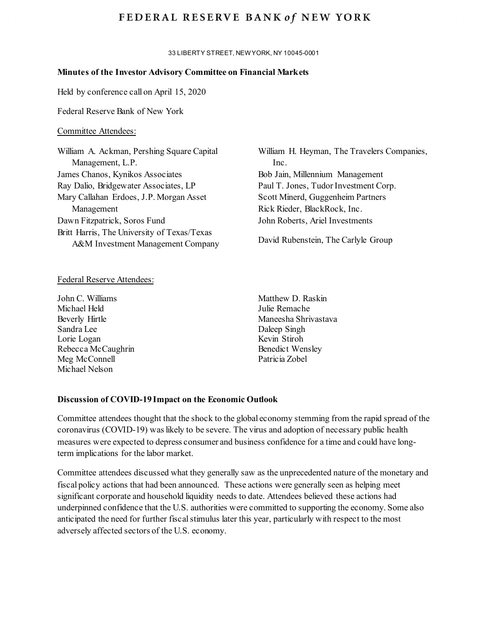# FEDERAL RESERVE BANK of NEW YORK

33 LIBERTY STREET, NEW YORK, NY 10045-0001

### **Minutes of the Investor Advisory Committee on Financial Markets**

Held by conference call on April 15, 2020

Federal Reserve Bank of New York

### Committee Attendees:

| William A. Ackman, Pershing Square Capital                                       | William H. Heyman, The Travelers Companies, |
|----------------------------------------------------------------------------------|---------------------------------------------|
| Management, L.P.                                                                 | Inc.                                        |
| James Chanos, Kynikos Associates                                                 | Bob Jain, Millennium Management             |
| Ray Dalio, Bridgewater Associates, LP                                            | Paul T. Jones, Tudor Investment Corp.       |
| Mary Callahan Erdoes, J.P. Morgan Asset                                          | Scott Minerd, Guggenheim Partners           |
| Management                                                                       | Rick Rieder, BlackRock, Inc.                |
| Dawn Fitzpatrick, Soros Fund                                                     | John Roberts, Ariel Investments             |
| Britt Harris, The University of Texas/Texas<br>A&M Investment Management Company | David Rubenstein, The Carlyle Group         |

### Federal Reserve Attendees:

John C. Williams Michael Held Beverly Hirtle Sandra Lee Lorie Logan Rebecca McCaughrin Meg McConnell Michael Nelson

Matthew D. Raskin Julie Remache Maneesha Shrivastava Daleep Singh Kevin Stiroh Benedict Wensley Patricia Zobel

### **Discussion of COVID-19 Impact on the Economic Outlook**

Committee attendees thought that the shock to the global economy stemming from the rapid spread of the coronavirus (COVID-19) was likely to be severe. The virus and adoption of necessary public health measures were expected to depress consumer and business confidence for a time and could have longterm implications for the labor market.

Committee attendees discussed what they generally saw as the unprecedented nature of the monetary and fiscal policy actions that had been announced. These actions were generally seen as helping meet significant corporate and household liquidity needs to date. Attendees believed these actions had underpinned confidence that the U.S. authorities were committed to supporting the economy. Some also anticipated the need for further fiscal stimulus later this year, particularly with respect to the most adversely affected sectors of the U.S. economy.